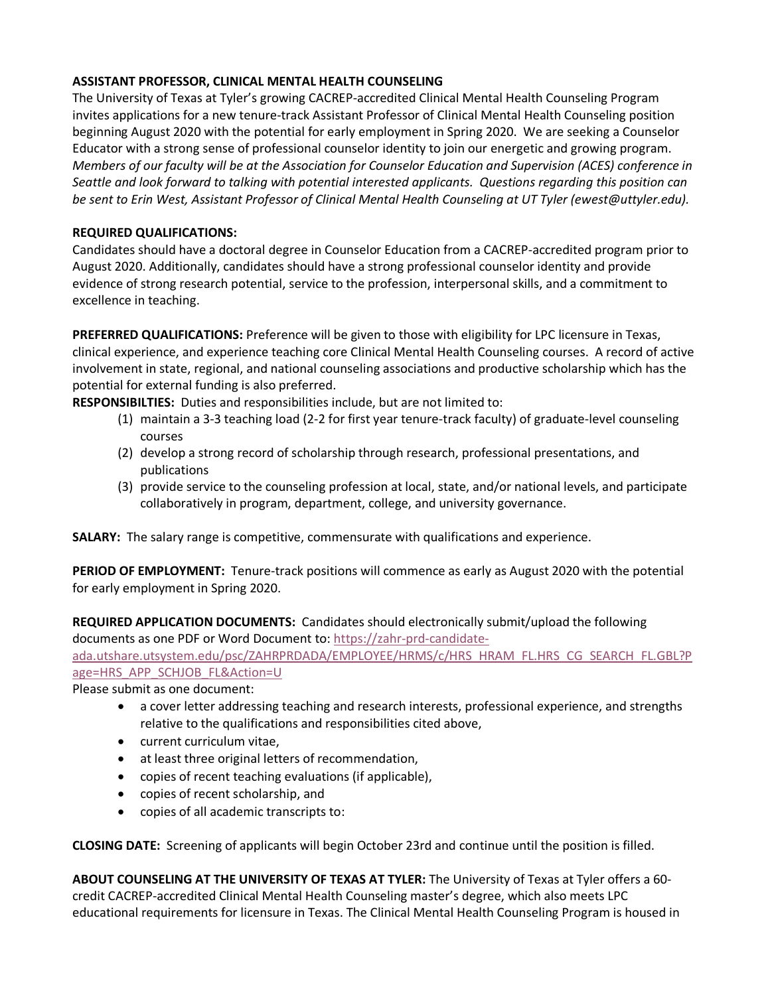## **ASSISTANT PROFESSOR, CLINICAL MENTAL HEALTH COUNSELING**

The University of Texas at Tyler's growing CACREP-accredited Clinical Mental Health Counseling Program invites applications for a new tenure-track Assistant Professor of Clinical Mental Health Counseling position beginning August 2020 with the potential for early employment in Spring 2020. We are seeking a Counselor Educator with a strong sense of professional counselor identity to join our energetic and growing program. *Members of our faculty will be at the Association for Counselor Education and Supervision (ACES) conference in Seattle and look forward to talking with potential interested applicants. Questions regarding this position can be sent to Erin West, Assistant Professor of Clinical Mental Health Counseling at UT Tyler (ewest@uttyler.edu).* 

## **REQUIRED QUALIFICATIONS:**

Candidates should have a doctoral degree in Counselor Education from a CACREP-accredited program prior to August 2020. Additionally, candidates should have a strong professional counselor identity and provide evidence of strong research potential, service to the profession, interpersonal skills, and a commitment to excellence in teaching.

**PREFERRED QUALIFICATIONS:** Preference will be given to those with eligibility for LPC licensure in Texas, clinical experience, and experience teaching core Clinical Mental Health Counseling courses. A record of active involvement in state, regional, and national counseling associations and productive scholarship which has the potential for external funding is also preferred.

**RESPONSIBILTIES:** Duties and responsibilities include, but are not limited to:

- (1) maintain a 3-3 teaching load (2-2 for first year tenure-track faculty) of graduate-level counseling courses
- (2) develop a strong record of scholarship through research, professional presentations, and publications
- (3) provide service to the counseling profession at local, state, and/or national levels, and participate collaboratively in program, department, college, and university governance.

**SALARY:** The salary range is competitive, commensurate with qualifications and experience.

**PERIOD OF EMPLOYMENT:** Tenure-track positions will commence as early as August 2020 with the potential for early employment in Spring 2020.

**REQUIRED APPLICATION DOCUMENTS:** Candidates should electronically submit/upload the following documents as one PDF or Word Document to: https://zahr-prd-candidate-

ada.utshare.utsystem.edu/psc/ZAHRPRDADA/EMPLOYEE/HRMS/c/HRS\_HRAM\_FL.HRS\_CG\_SEARCH\_FL.GBL?P age=HRS\_APP\_SCHJOB\_FL&Action=U

Please submit as one document:

- a cover letter addressing teaching and research interests, professional experience, and strengths relative to the qualifications and responsibilities cited above,
- current curriculum vitae,
- at least three original letters of recommendation,
- copies of recent teaching evaluations (if applicable),
- copies of recent scholarship, and
- copies of all academic transcripts to:

**CLOSING DATE:** Screening of applicants will begin October 23rd and continue until the position is filled.

**ABOUT COUNSELING AT THE UNIVERSITY OF TEXAS AT TYLER:** The University of Texas at Tyler offers a 60 credit CACREP-accredited Clinical Mental Health Counseling master's degree, which also meets LPC educational requirements for licensure in Texas. The Clinical Mental Health Counseling Program is housed in